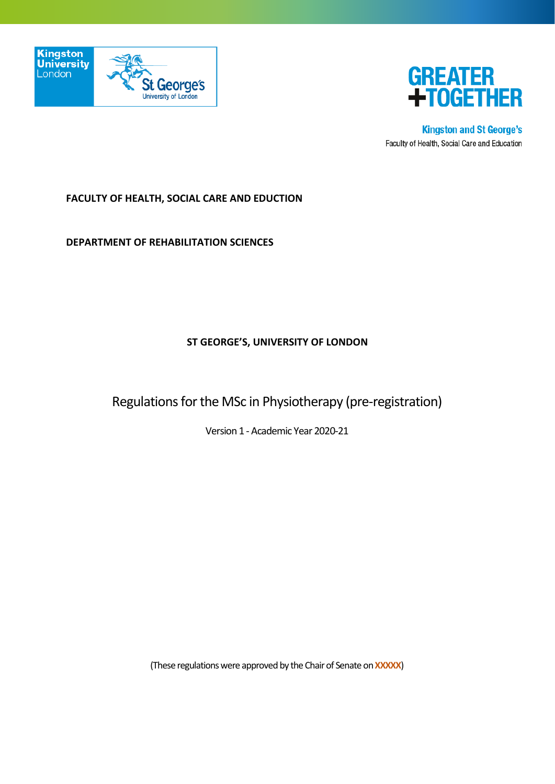



**Kingston and St George's** Faculty of Health, Social Care and Education

## **FACULTY OF HEALTH, SOCIAL CARE AND EDUCTION**

**DEPARTMENT OF REHABILITATION SCIENCES**

#### **ST GEORGE'S, UNIVERSITY OF LONDON**

Regulations for the MSc in Physiotherapy (pre-registration)

Version 1 - Academic Year 2020-21

(These regulations were approved by the Chair of Senate on **XXXXX**)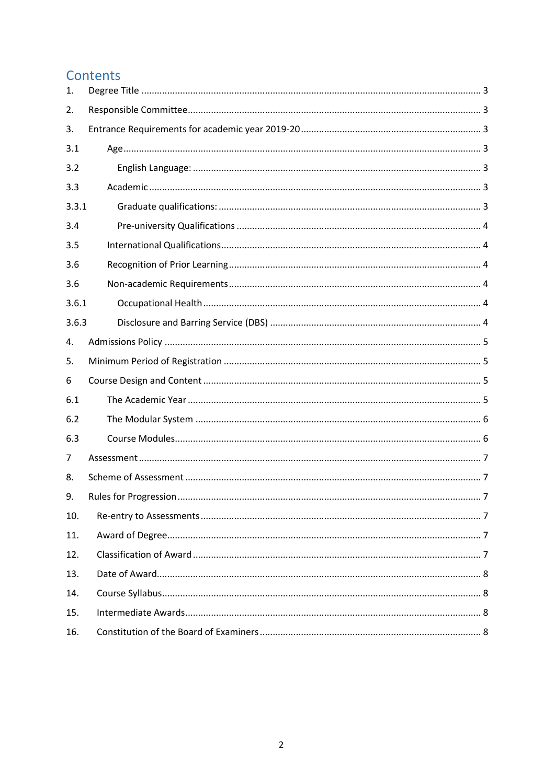# Contents

| 1.    |  |
|-------|--|
| 2.    |  |
| 3.    |  |
| 3.1   |  |
| 3.2   |  |
| 3.3   |  |
| 3.3.1 |  |
| 3.4   |  |
| 3.5   |  |
| 3.6   |  |
| 3.6   |  |
| 3.6.1 |  |
| 3.6.3 |  |
| 4.    |  |
| 5.    |  |
| 6     |  |
| 6.1   |  |
| 6.2   |  |
| 6.3   |  |
| 7     |  |
| 8.    |  |
| 9.    |  |
| 10.   |  |
| 11.   |  |
| 12.   |  |
| 13.   |  |
| 14.   |  |
| 15.   |  |
| 16.   |  |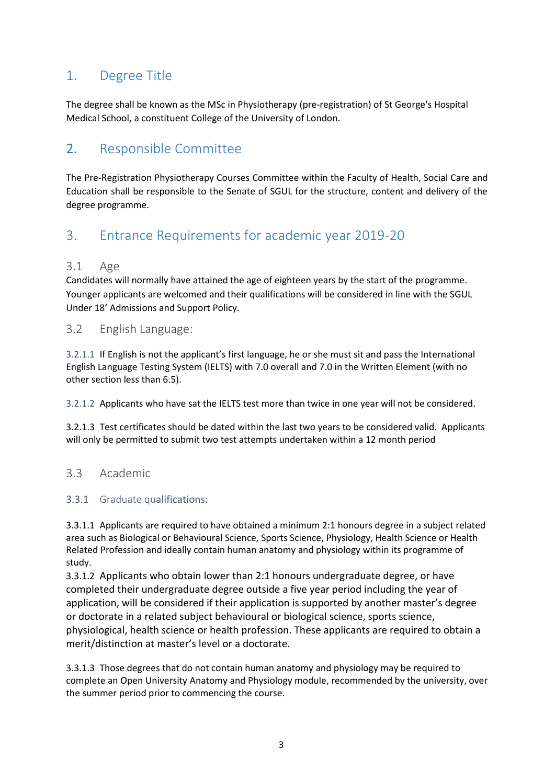# <span id="page-2-0"></span>1. Degree Title

The degree shall be known as the MSc in Physiotherapy (pre-registration) of St George's Hospital Medical School, a constituent College of the University of London.

# <span id="page-2-1"></span>2. Responsible Committee

The Pre-Registration Physiotherapy Courses Committee within the Faculty of Health, Social Care and Education shall be responsible to the Senate of SGUL for the structure, content and delivery of the degree programme.

# <span id="page-2-2"></span>3. Entrance Requirements for academic year 2019-20

## <span id="page-2-3"></span>3.1 Age

Candidates will normally have attained the age of eighteen years by the start of the programme. Younger applicants are welcomed and their qualifications will be considered in line with the SGUL Under 18' Admissions and Support Policy.

## <span id="page-2-4"></span>3.2 English Language:

3.2.1.1 If English is not the applicant's first language, he or she must sit and pass the International English Language Testing System (IELTS) with 7.0 overall and 7.0 in the Written Element (with no other section less than 6.5).

3.2.1.2 Applicants who have sat the IELTS test more than twice in one year will not be considered.

3.2.1.3 Test certificates should be dated within the last two years to be considered valid. Applicants will only be permitted to submit two test attempts undertaken within a 12 month period

## <span id="page-2-5"></span>3.3 Academic

## <span id="page-2-6"></span>3.3.1 Graduate qualifications:

3.3.1.1 Applicants are required to have obtained a minimum 2:1 honours degree in a subject related area such as Biological or Behavioural Science, Sports Science, Physiology, Health Science or Health Related Profession and ideally contain human anatomy and physiology within its programme of study.

3.3.1.2 Applicants who obtain lower than 2:1 honours undergraduate degree, or have completed their undergraduate degree outside a five year period including the year of application, will be considered if their application is supported by another master's degree or doctorate in a related subject behavioural or biological science, sports science, physiological, health science or health profession. These applicants are required to obtain a merit/distinction at master's level or a doctorate.

3.3.1.3 Those degrees that do not contain human anatomy and physiology may be required to complete an Open University Anatomy and Physiology module, recommended by the university, over the summer period prior to commencing the course.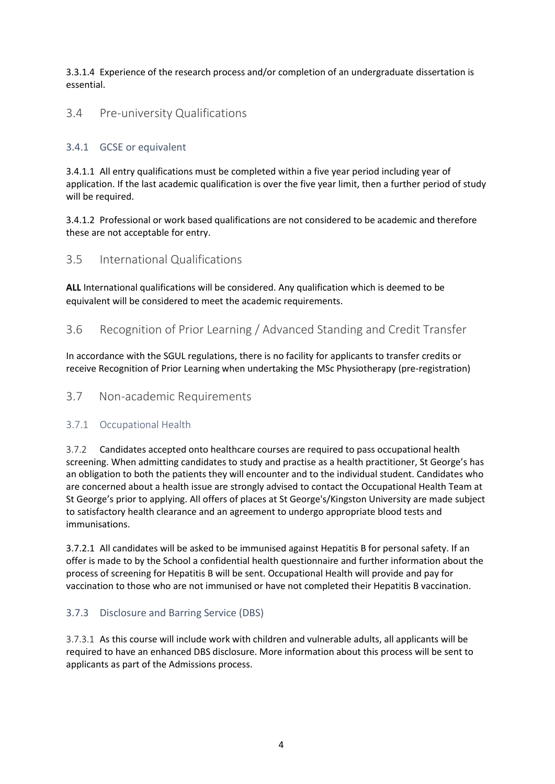3.3.1.4 Experience of the research process and/or completion of an undergraduate dissertation is essential.

## <span id="page-3-0"></span>3.4 Pre-university Qualifications

#### 3.4.1 GCSE or equivalent

3.4.1.1 All entry qualifications must be completed within a five year period including year of application. If the last academic qualification is over the five year limit, then a further period of study will be required.

3.4.1.2 Professional or work based qualifications are not considered to be academic and therefore these are not acceptable for entry.

## <span id="page-3-1"></span>3.5 International Qualifications

**ALL** International qualifications will be considered. Any qualification which is deemed to be equivalent will be considered to meet the academic requirements.

#### <span id="page-3-2"></span>3.6 Recognition of Prior Learning / Advanced Standing and Credit Transfer

In accordance with the SGUL regulations, there is no facility for applicants to transfer credits or receive Recognition of Prior Learning when undertaking the MSc Physiotherapy (pre-registration)

## <span id="page-3-3"></span>3.7 Non-academic Requirements

#### <span id="page-3-4"></span>3.7.1 Occupational Health

3.7.2 Candidates accepted onto healthcare courses are required to pass occupational health screening. When admitting candidates to study and practise as a health practitioner, St George's has an obligation to both the patients they will encounter and to the individual student. Candidates who are concerned about a health issue are strongly advised to contact the Occupational Health Team at St George's prior to applying. All offers of places at St George's/Kingston University are made subject to satisfactory health clearance and an agreement to undergo appropriate blood tests and immunisations.

3.7.2.1 All candidates will be asked to be immunised against Hepatitis B for personal safety. If an offer is made to by the School a confidential health questionnaire and further information about the process of screening for Hepatitis B will be sent. Occupational Health will provide and pay for vaccination to those who are not immunised or have not completed their Hepatitis B vaccination.

## <span id="page-3-5"></span>3.7.3 Disclosure and Barring Service (DBS)

3.7.3.1 As this course will include work with children and vulnerable adults, all applicants will be required to have an enhanced DBS disclosure. More information about this process will be sent to applicants as part of the Admissions process.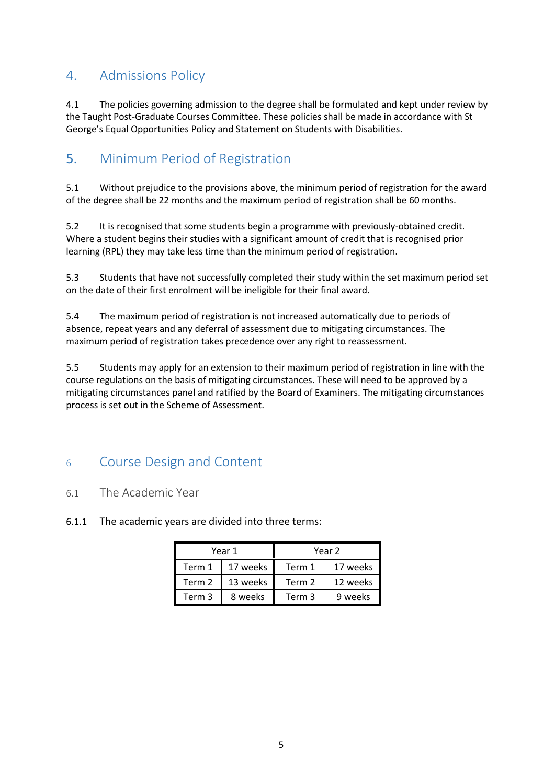# <span id="page-4-0"></span>4. Admissions Policy

4.1 The policies governing admission to the degree shall be formulated and kept under review by the Taught Post-Graduate Courses Committee. These policies shall be made in accordance with St George's Equal Opportunities Policy and Statement on Students with Disabilities.

# <span id="page-4-1"></span>5. Minimum Period of Registration

5.1 Without prejudice to the provisions above, the minimum period of registration for the award of the degree shall be 22 months and the maximum period of registration shall be 60 months.

5.2 It is recognised that some students begin a programme with previously-obtained credit. Where a student begins their studies with a significant amount of credit that is recognised prior learning (RPL) they may take less time than the minimum period of registration.

5.3 Students that have not successfully completed their study within the set maximum period set on the date of their first enrolment will be ineligible for their final award.

5.4 The maximum period of registration is not increased automatically due to periods of absence, repeat years and any deferral of assessment due to mitigating circumstances. The maximum period of registration takes precedence over any right to reassessment.

5.5 Students may apply for an extension to their maximum period of registration in line with the course regulations on the basis of mitigating circumstances. These will need to be approved by a mitigating circumstances panel and ratified by the Board of Examiners. The mitigating circumstances process is set out in the Scheme of Assessment.

# <span id="page-4-2"></span><sup>6</sup> Course Design and Content

## <span id="page-4-3"></span>6.1 The Academic Year

6.1.1 The academic years are divided into three terms:

| Year 1 |          | Year 2 |          |
|--------|----------|--------|----------|
| Term 1 | 17 weeks | Term 1 | 17 weeks |
| Term 2 | 13 weeks | Term 2 | 12 weeks |
| Term 3 | 8 weeks  | Term 3 | 9 weeks  |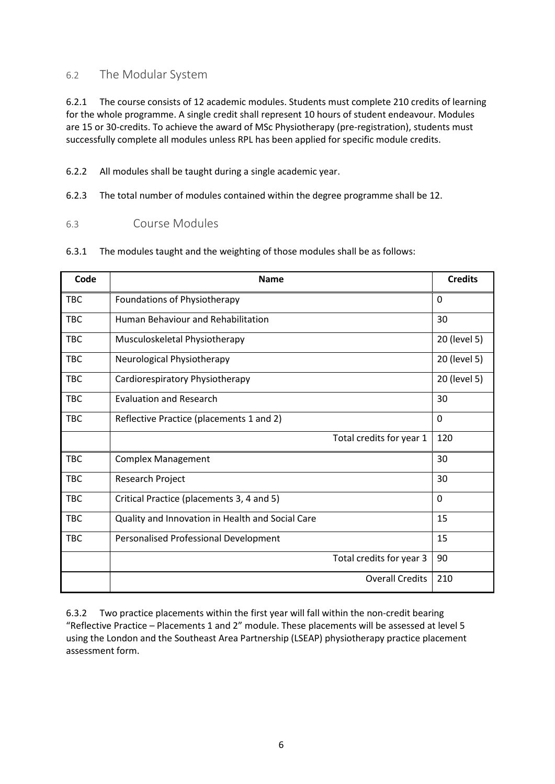## <span id="page-5-0"></span>6.2 The Modular System

6.2.1 The course consists of 12 academic modules. Students must complete 210 credits of learning for the whole programme. A single credit shall represent 10 hours of student endeavour. Modules are 15 or 30-credits. To achieve the award of MSc Physiotherapy (pre-registration), students must successfully complete all modules unless RPL has been applied for specific module credits.

6.2.2 All modules shall be taught during a single academic year.

6.2.3 The total number of modules contained within the degree programme shall be 12.

#### <span id="page-5-1"></span>6.3 Course Modules

|  | 6.3.1 The modules taught and the weighting of those modules shall be as follows: |
|--|----------------------------------------------------------------------------------|
|--|----------------------------------------------------------------------------------|

| Code       | <b>Name</b>                                      | <b>Credits</b> |
|------------|--------------------------------------------------|----------------|
| <b>TBC</b> | Foundations of Physiotherapy                     | 0              |
| <b>TBC</b> | Human Behaviour and Rehabilitation               | 30             |
| <b>TBC</b> | Musculoskeletal Physiotherapy                    | 20 (level 5)   |
| <b>TBC</b> | Neurological Physiotherapy                       | 20 (level 5)   |
| <b>TBC</b> | Cardiorespiratory Physiotherapy                  | 20 (level 5)   |
| <b>TBC</b> | <b>Evaluation and Research</b>                   | 30             |
| <b>TBC</b> | Reflective Practice (placements 1 and 2)         | 0              |
|            | Total credits for year 1                         | 120            |
| <b>TBC</b> | <b>Complex Management</b>                        | 30             |
| <b>TBC</b> | Research Project                                 | 30             |
| <b>TBC</b> | Critical Practice (placements 3, 4 and 5)        | $\Omega$       |
| <b>TBC</b> | Quality and Innovation in Health and Social Care | 15             |
| <b>TBC</b> | Personalised Professional Development            | 15             |
|            | Total credits for year 3                         | 90             |
|            | <b>Overall Credits</b>                           | 210            |

6.3.2 Two practice placements within the first year will fall within the non-credit bearing "Reflective Practice – Placements 1 and 2" module. These placements will be assessed at level 5 using the London and the Southeast Area Partnership (LSEAP) physiotherapy practice placement assessment form.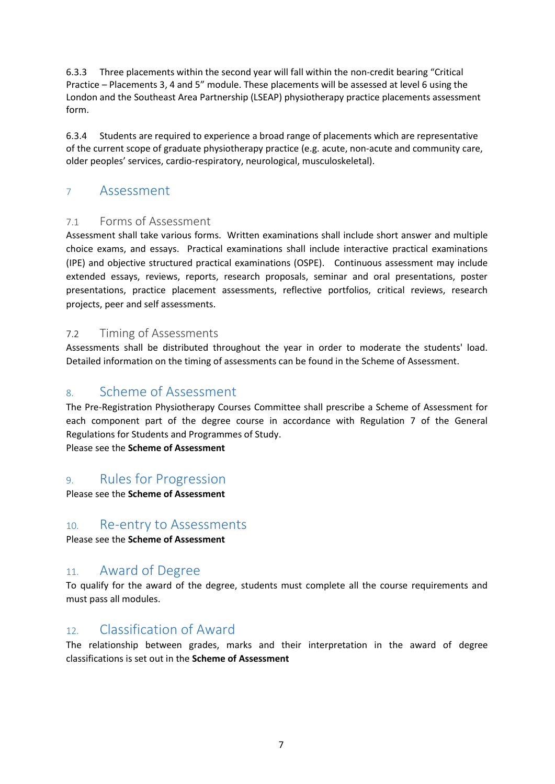6.3.3 Three placements within the second year will fall within the non-credit bearing "Critical Practice – Placements 3, 4 and 5" module. These placements will be assessed at level 6 using the London and the Southeast Area Partnership (LSEAP) physiotherapy practice placements assessment form.

6.3.4 Students are required to experience a broad range of placements which are representative of the current scope of graduate physiotherapy practice (e.g. acute, non-acute and community care, older peoples' services, cardio-respiratory, neurological, musculoskeletal).

# <span id="page-6-0"></span><sup>7</sup> Assessment

# 7.1 Forms of Assessment

Assessment shall take various forms. Written examinations shall include short answer and multiple choice exams, and essays. Practical examinations shall include interactive practical examinations (IPE) and objective structured practical examinations (OSPE). Continuous assessment may include extended essays, reviews, reports, research proposals, seminar and oral presentations, poster presentations, practice placement assessments, reflective portfolios, critical reviews, research projects, peer and self assessments.

## 7.2 Timing of Assessments

Assessments shall be distributed throughout the year in order to moderate the students' load. Detailed information on the timing of assessments can be found in the Scheme of Assessment.

# <span id="page-6-1"></span>8. Scheme of Assessment

The Pre-Registration Physiotherapy Courses Committee shall prescribe a Scheme of Assessment for each component part of the degree course in accordance with Regulation 7 of the General Regulations for Students and Programmes of Study.

Please see the **Scheme of Assessment**

# <span id="page-6-2"></span>9. Rules for Progression

Please see the **Scheme of Assessment**

# <span id="page-6-3"></span>10. Re-entry to Assessments

Please see the **Scheme of Assessment**

# <span id="page-6-4"></span>11. Award of Degree

To qualify for the award of the degree, students must complete all the course requirements and must pass all modules.

# <span id="page-6-5"></span>12. Classification of Award

The relationship between grades, marks and their interpretation in the award of degree classifications is set out in the **Scheme of Assessment**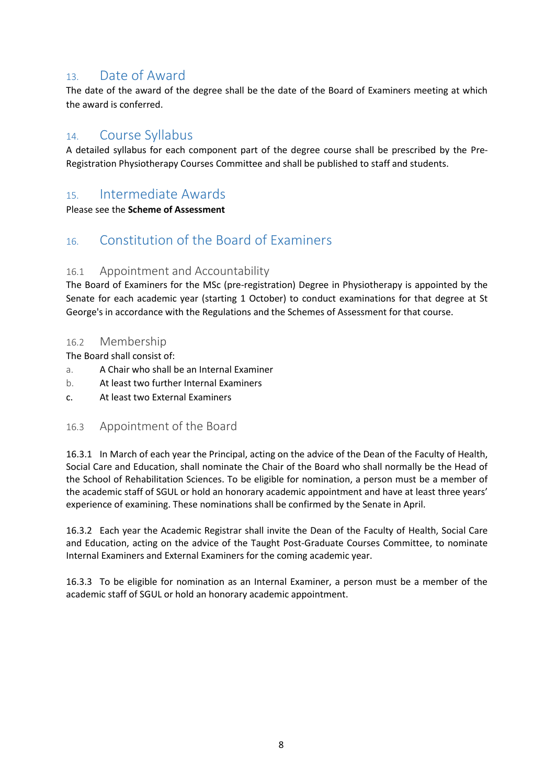# <span id="page-7-0"></span>13. Date of Award

The date of the award of the degree shall be the date of the Board of Examiners meeting at which the award is conferred.

# <span id="page-7-1"></span>14. Course Syllabus

A detailed syllabus for each component part of the degree course shall be prescribed by the Pre-Registration Physiotherapy Courses Committee and shall be published to staff and students.

# <span id="page-7-2"></span>15. Intermediate Awards

Please see the **Scheme of Assessment**

# <span id="page-7-3"></span>16. Constitution of the Board of Examiners

## 16.1 Appointment and Accountability

The Board of Examiners for the MSc (pre-registration) Degree in Physiotherapy is appointed by the Senate for each academic year (starting 1 October) to conduct examinations for that degree at St George's in accordance with the Regulations and the Schemes of Assessment for that course.

#### 16.2 Membership

The Board shall consist of:

- a. A Chair who shall be an Internal Examiner
- b. At least two further Internal Examiners
- c. At least two External Examiners

## 16.3 Appointment of the Board

16.3.1 In March of each year the Principal, acting on the advice of the Dean of the Faculty of Health, Social Care and Education, shall nominate the Chair of the Board who shall normally be the Head of the School of Rehabilitation Sciences. To be eligible for nomination, a person must be a member of the academic staff of SGUL or hold an honorary academic appointment and have at least three years' experience of examining. These nominations shall be confirmed by the Senate in April.

16.3.2 Each year the Academic Registrar shall invite the Dean of the Faculty of Health, Social Care and Education, acting on the advice of the Taught Post-Graduate Courses Committee, to nominate Internal Examiners and External Examiners for the coming academic year.

16.3.3 To be eligible for nomination as an Internal Examiner, a person must be a member of the academic staff of SGUL or hold an honorary academic appointment.